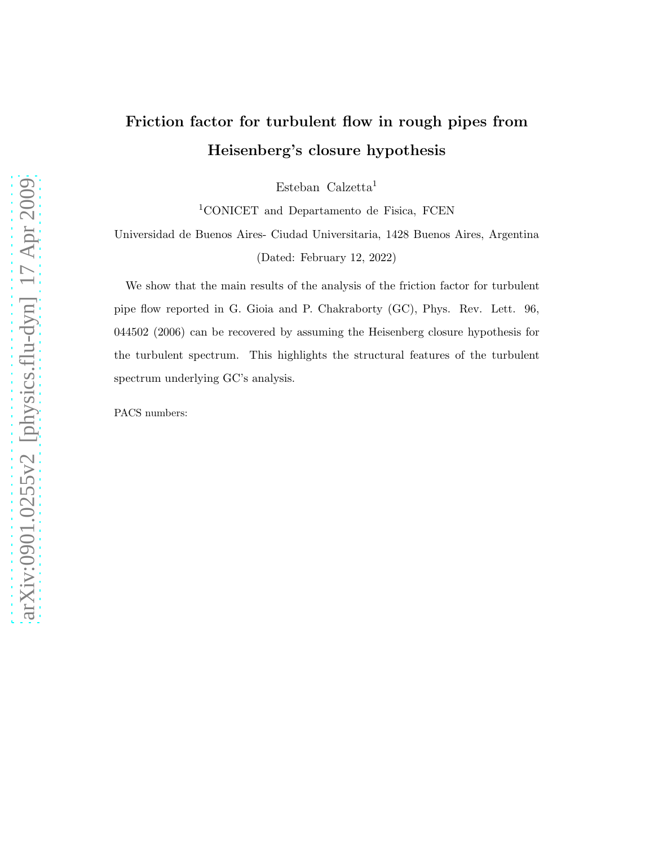# Friction factor for turbulent flow in rough pipes from Heisenberg's closure hypothesis

Esteban Calzetta<sup>1</sup>

<sup>1</sup>CONICET and Departamento de Fisica, FCEN

Universidad de Buenos Aires- Ciudad Universitaria, 1428 Buenos Aires, Argentina (Dated: February 12, 2022)

We show that the main results of the analysis of the friction factor for turbulent pipe flow reported in G. Gioia and P. Chakraborty (GC), Phys. Rev. Lett. 96, 044502 (2006) can be recovered by assuming the Heisenberg closure hypothesis for the turbulent spectrum. This highlights the structural features of the turbulent spectrum underlying GC's analysis.

PACS numbers: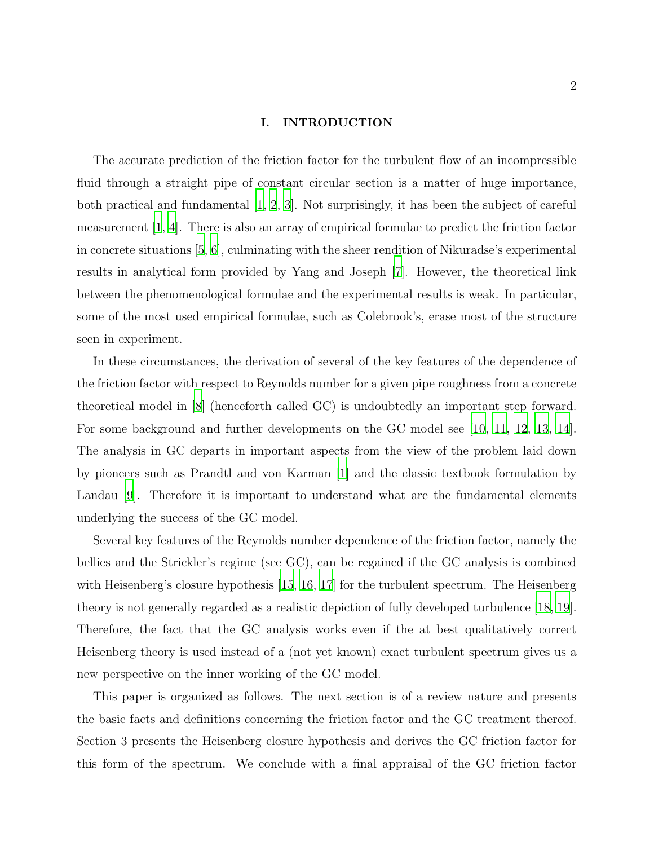## I. INTRODUCTION

The accurate prediction of the friction factor for the turbulent flow of an incompressible fluid through a straight pipe of constant circular section is a matter of huge importance, both practical and fundamental [\[1,](#page-16-0) [2](#page-17-0), [3](#page-17-1)]. Not surprisingly, it has been the subject of careful measurement [\[1,](#page-16-0) [4](#page-17-2)]. There is also an array of empirical formulae to predict the friction factor in concrete situations [\[5](#page-17-3), [6\]](#page-17-4), culminating with the sheer rendition of Nikuradse's experimental results in analytical form provided by Yang and Joseph [\[7\]](#page-17-5). However, the theoretical link between the phenomenological formulae and the experimental results is weak. In particular, some of the most used empirical formulae, such as Colebrook's, erase most of the structure seen in experiment.

In these circumstances, the derivation of several of the key features of the dependence of the friction factor with respect to Reynolds number for a given pipe roughness from a concrete theoretical model in [\[8\]](#page-17-6) (henceforth called GC) is undoubtedly an important step forward. For some background and further developments on the GC model see [\[10,](#page-17-7) [11](#page-17-8), [12](#page-17-9), [13,](#page-17-10) [14\]](#page-17-11). The analysis in GC departs in important aspects from the view of the problem laid down by pioneers such as Prandtl and von Karman [\[1](#page-16-0)] and the classic textbook formulation by Landau [\[9\]](#page-17-12). Therefore it is important to understand what are the fundamental elements underlying the success of the GC model.

Several key features of the Reynolds number dependence of the friction factor, namely the bellies and the Strickler's regime (see GC), can be regained if the GC analysis is combined with Heisenberg's closure hypothesis [\[15,](#page-17-13) [16](#page-17-14), [17\]](#page-18-0) for the turbulent spectrum. The Heisenberg theory is not generally regarded as a realistic depiction of fully developed turbulence [\[18](#page-18-1), [19\]](#page-18-2). Therefore, the fact that the GC analysis works even if the at best qualitatively correct Heisenberg theory is used instead of a (not yet known) exact turbulent spectrum gives us a new perspective on the inner working of the GC model.

This paper is organized as follows. The next section is of a review nature and presents the basic facts and definitions concerning the friction factor and the GC treatment thereof. Section 3 presents the Heisenberg closure hypothesis and derives the GC friction factor for this form of the spectrum. We conclude with a final appraisal of the GC friction factor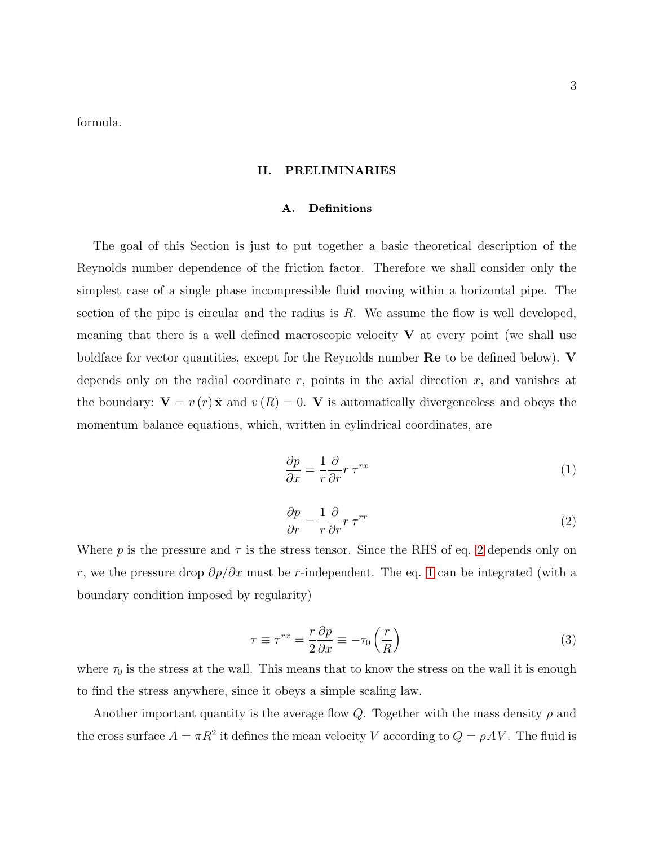formula.

## II. PRELIMINARIES

#### A. Definitions

The goal of this Section is just to put together a basic theoretical description of the Reynolds number dependence of the friction factor. Therefore we shall consider only the simplest case of a single phase incompressible fluid moving within a horizontal pipe. The section of the pipe is circular and the radius is  $R$ . We assume the flow is well developed, meaning that there is a well defined macroscopic velocity  $V$  at every point (we shall use boldface for vector quantities, except for the Reynolds number  $\mathbf{Re}$  to be defined below).  $\mathbf{V}$ depends only on the radial coordinate  $r$ , points in the axial direction  $x$ , and vanishes at the boundary:  $V = v(r) \hat{x}$  and  $v(R) = 0$ . V is automatically divergenceless and obeys the momentum balance equations, which, written in cylindrical coordinates, are

<span id="page-2-1"></span>
$$
\frac{\partial p}{\partial x} = \frac{1}{r} \frac{\partial}{\partial r} r \tau^{rx} \tag{1}
$$

<span id="page-2-0"></span>
$$
\frac{\partial p}{\partial r} = \frac{1}{r} \frac{\partial}{\partial r} r \, \tau^{rr} \tag{2}
$$

Where p is the pressure and  $\tau$  is the stress tensor. Since the RHS of eq. [2](#page-2-0) depends only on r, we the pressure drop  $\partial p/\partial x$  must be r-independent. The eq. [1](#page-2-1) can be integrated (with a boundary condition imposed by regularity)

$$
\tau \equiv \tau^{rx} = \frac{r}{2} \frac{\partial p}{\partial x} \equiv -\tau_0 \left(\frac{r}{R}\right) \tag{3}
$$

where  $\tau_0$  is the stress at the wall. This means that to know the stress on the wall it is enough to find the stress anywhere, since it obeys a simple scaling law.

Another important quantity is the average flow Q. Together with the mass density  $\rho$  and the cross surface  $A = \pi R^2$  it defines the mean velocity V according to  $Q = \rho A V$ . The fluid is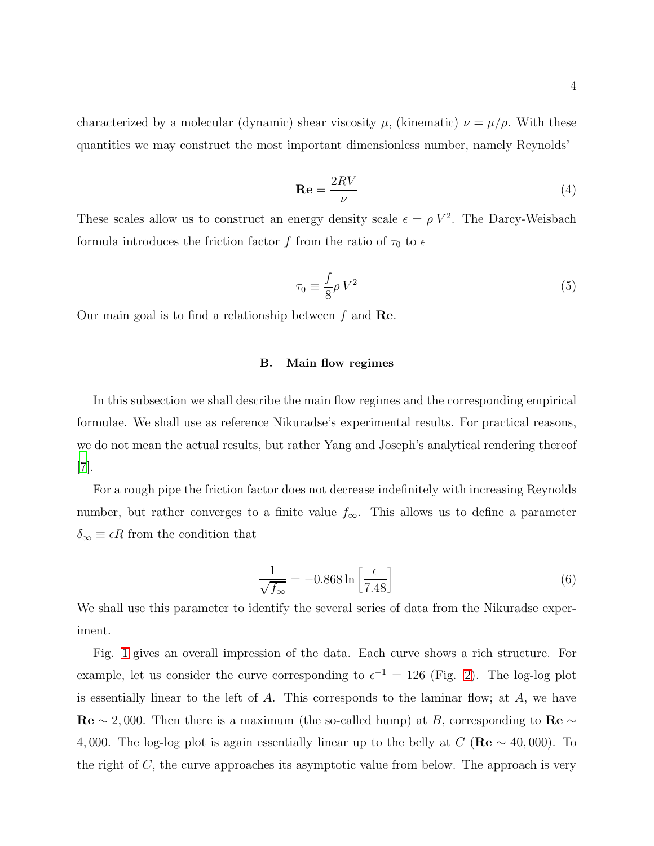characterized by a molecular (dynamic) shear viscosity  $\mu$ , (kinematic)  $\nu = \mu/\rho$ . With these quantities we may construct the most important dimensionless number, namely Reynolds'

$$
\mathbf{Re} = \frac{2RV}{\nu} \tag{4}
$$

These scales allow us to construct an energy density scale  $\epsilon = \rho V^2$ . The Darcy-Weisbach formula introduces the friction factor f from the ratio of  $\tau_0$  to  $\epsilon$ 

$$
\tau_0 \equiv \frac{f}{8} \rho V^2 \tag{5}
$$

Our main goal is to find a relationship between  $f$  and  $\mathbf{Re}$ .

#### B. Main flow regimes

In this subsection we shall describe the main flow regimes and the corresponding empirical formulae. We shall use as reference Nikuradse's experimental results. For practical reasons, we do not mean the actual results, but rather Yang and Joseph's analytical rendering thereof [\[7](#page-17-5)].

For a rough pipe the friction factor does not decrease indefinitely with increasing Reynolds number, but rather converges to a finite value  $f_{\infty}$ . This allows us to define a parameter  $\delta_{\infty} \equiv \epsilon R$  from the condition that

<span id="page-3-0"></span>
$$
\frac{1}{\sqrt{f_{\infty}}} = -0.868 \ln \left[ \frac{\epsilon}{7.48} \right]
$$
 (6)

We shall use this parameter to identify the several series of data from the Nikuradse experiment.

Fig. [1](#page-4-0) gives an overall impression of the data. Each curve shows a rich structure. For example, let us consider the curve corresponding to  $\epsilon^{-1} = 126$  (Fig. [2\)](#page-4-1). The log-log plot is essentially linear to the left of  $A$ . This corresponds to the laminar flow; at  $A$ , we have  $\text{Re} \sim 2,000$ . Then there is a maximum (the so-called hump) at B, corresponding to  $\text{Re} \sim$ 4,000. The log-log plot is again essentially linear up to the belly at  $C(\text{Re} \sim 40,000)$ . To the right of  $C$ , the curve approaches its asymptotic value from below. The approach is very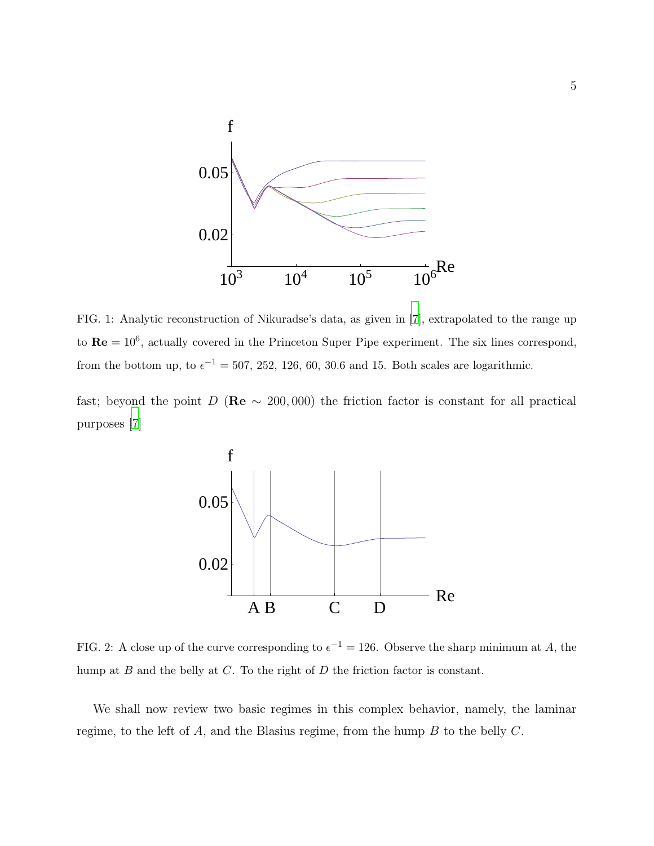

<span id="page-4-0"></span>FIG. 1: Analytic reconstruction of Nikuradse's data, as given in [\[7\]](#page-17-5), extrapolated to the range up to  $\mathbf{Re} = 10^6$ , actually covered in the Princeton Super Pipe experiment. The six lines correspond, from the bottom up, to  $\epsilon^{-1} = 507, 252, 126, 60, 30.6$  and 15. Both scales are logarithmic.

fast; beyond the point D (Re  $\sim$  200,000) the friction factor is constant for all practical purposes [\[7\]](#page-17-5)



<span id="page-4-1"></span>FIG. 2: A close up of the curve corresponding to  $\epsilon^{-1} = 126$ . Observe the sharp minimum at A, the hump at  $B$  and the belly at  $C$ . To the right of  $D$  the friction factor is constant.

We shall now review two basic regimes in this complex behavior, namely, the laminar regime, to the left of  $A$ , and the Blasius regime, from the hump  $B$  to the belly  $C$ .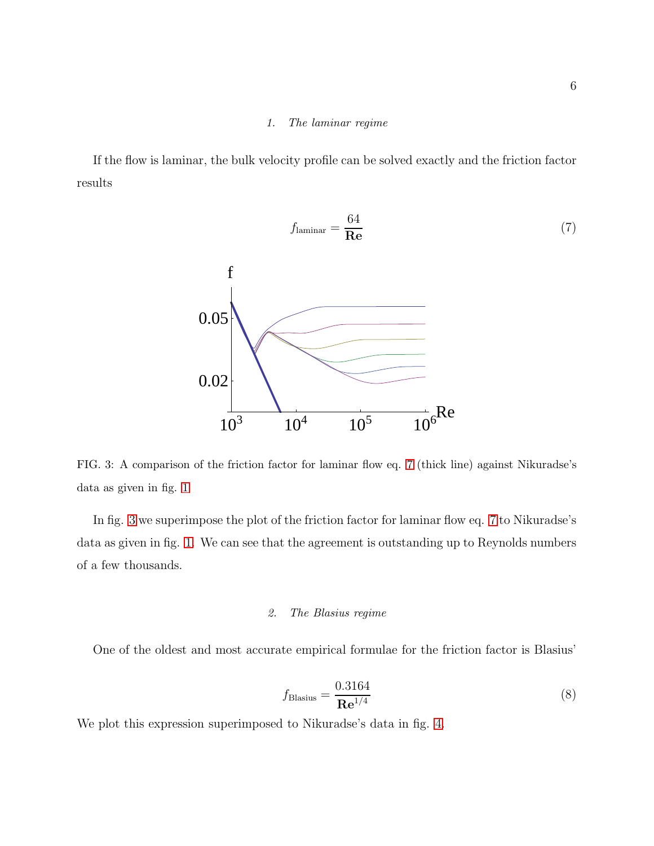## <span id="page-5-0"></span>1. The laminar regime

If the flow is laminar, the bulk velocity profile can be solved exactly and the friction factor results



<span id="page-5-1"></span>FIG. 3: A comparison of the friction factor for laminar flow eq. [7](#page-5-0) (thick line) against Nikuradse's data as given in fig. [1](#page-4-0)

In fig. [3](#page-5-1) we superimpose the plot of the friction factor for laminar flow eq. [7](#page-5-0) to Nikuradse's data as given in fig. [1.](#page-4-0) We can see that the agreement is outstanding up to Reynolds numbers of a few thousands.

## 2. The Blasius regime

One of the oldest and most accurate empirical formulae for the friction factor is Blasius'

<span id="page-5-2"></span>
$$
f_{\text{Blasius}} = \frac{0.3164}{\mathbf{Re}^{1/4}}\tag{8}
$$

We plot this expression superimposed to Nikuradse's data in fig. [4.](#page-6-0)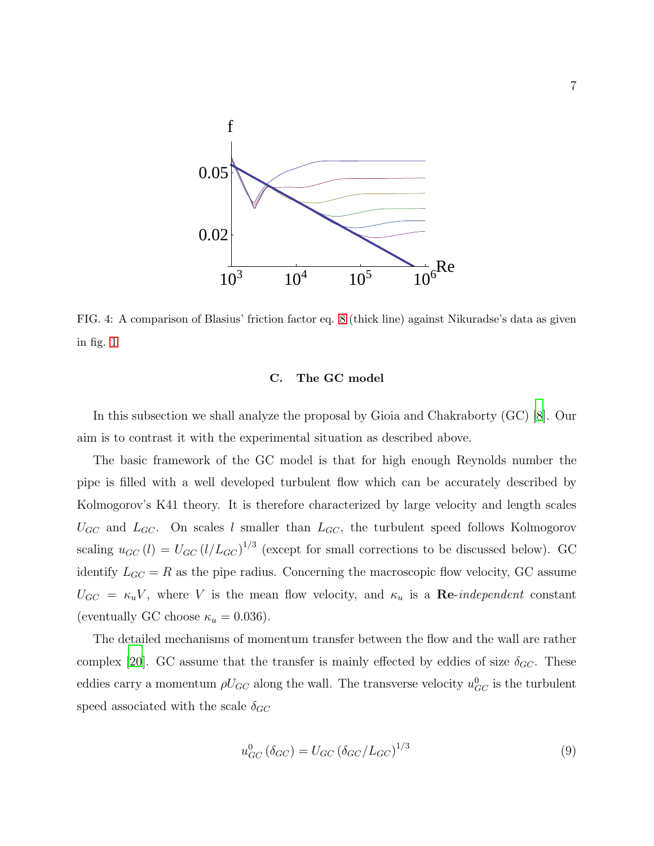

<span id="page-6-0"></span>FIG. 4: A comparison of Blasius' friction factor eq. [8](#page-5-2) (thick line) against Nikuradse's data as given in fig. [1](#page-4-0)

## C. The GC model

In this subsection we shall analyze the proposal by Gioia and Chakraborty (GC) [\[8](#page-17-6)]. Our aim is to contrast it with the experimental situation as described above.

The basic framework of the GC model is that for high enough Reynolds number the pipe is filled with a well developed turbulent flow which can be accurately described by Kolmogorov's K41 theory. It is therefore characterized by large velocity and length scales  $U_{GC}$  and  $L_{GC}$ . On scales l smaller than  $L_{GC}$ , the turbulent speed follows Kolmogorov scaling  $u_{GC}(l) = U_{GC} (l/L_{GC})^{1/3}$  (except for small corrections to be discussed below). GC identify  $L_{GC} = R$  as the pipe radius. Concerning the macroscopic flow velocity, GC assume  $U_{GC} = \kappa_u V$ , where V is the mean flow velocity, and  $\kappa_u$  is a **Re**-independent constant (eventually GC choose  $\kappa_u = 0.036$ ).

The detailed mechanisms of momentum transfer between the flow and the wall are rather complex [\[20](#page-18-3)]. GC assume that the transfer is mainly effected by eddies of size  $\delta_{GC}$ . These eddies carry a momentum  $\rho U_{GC}$  along the wall. The transverse velocity  $u_{GC}^0$  is the turbulent speed associated with the scale  $\delta_{GC}$ 

<span id="page-6-1"></span>
$$
u_{GC}^0 \left(\delta_{GC}\right) = U_{GC} \left(\delta_{GC}/L_{GC}\right)^{1/3} \tag{9}
$$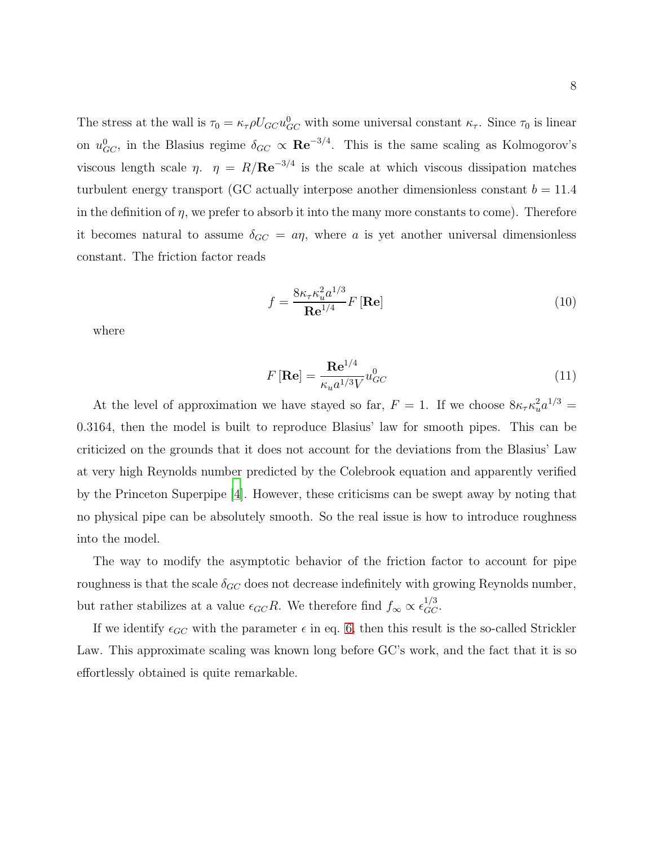The stress at the wall is  $\tau_0 = \kappa_\tau \rho U_{GC} u_{GC}^0$  with some universal constant  $\kappa_\tau$ . Since  $\tau_0$  is linear on  $u_{GC}^0$ , in the Blasius regime  $\delta_{GC} \propto \mathbf{Re}^{-3/4}$ . This is the same scaling as Kolmogorov's viscous length scale  $\eta$ .  $\eta = R/Re^{-3/4}$  is the scale at which viscous dissipation matches turbulent energy transport (GC actually interpose another dimensionless constant  $b = 11.4$ in the definition of  $\eta$ , we prefer to absorb it into the many more constants to come). Therefore it becomes natural to assume  $\delta_{GC} = a\eta$ , where a is yet another universal dimensionless constant. The friction factor reads

$$
f = \frac{8\kappa_{\tau}\kappa_u^2 a^{1/3}}{\mathbf{Re}^{1/4}} F[\mathbf{Re}]
$$
 (10)

where

$$
F\left[\mathbf{Re}\right] = \frac{\mathbf{Re}^{1/4}}{\kappa_u a^{1/3} V} u_{GC}^0\tag{11}
$$

At the level of approximation we have stayed so far,  $F = 1$ . If we choose  $8\kappa_{\tau}\kappa_u^2 a^{1/3} =$ 0.3164, then the model is built to reproduce Blasius' law for smooth pipes. This can be criticized on the grounds that it does not account for the deviations from the Blasius' Law at very high Reynolds number predicted by the Colebrook equation and apparently verified by the Princeton Superpipe [\[4](#page-17-2)]. However, these criticisms can be swept away by noting that no physical pipe can be absolutely smooth. So the real issue is how to introduce roughness into the model.

The way to modify the asymptotic behavior of the friction factor to account for pipe roughness is that the scale  $\delta_{GC}$  does not decrease indefinitely with growing Reynolds number, but rather stabilizes at a value  $\epsilon_{GC}R$ . We therefore find  $f_{\infty} \propto \epsilon_{GC}^{1/3}$ .

If we identify  $\epsilon_{GC}$  with the parameter  $\epsilon$  in eq. [6,](#page-3-0) then this result is the so-called Strickler Law. This approximate scaling was known long before GC's work, and the fact that it is so effortlessly obtained is quite remarkable.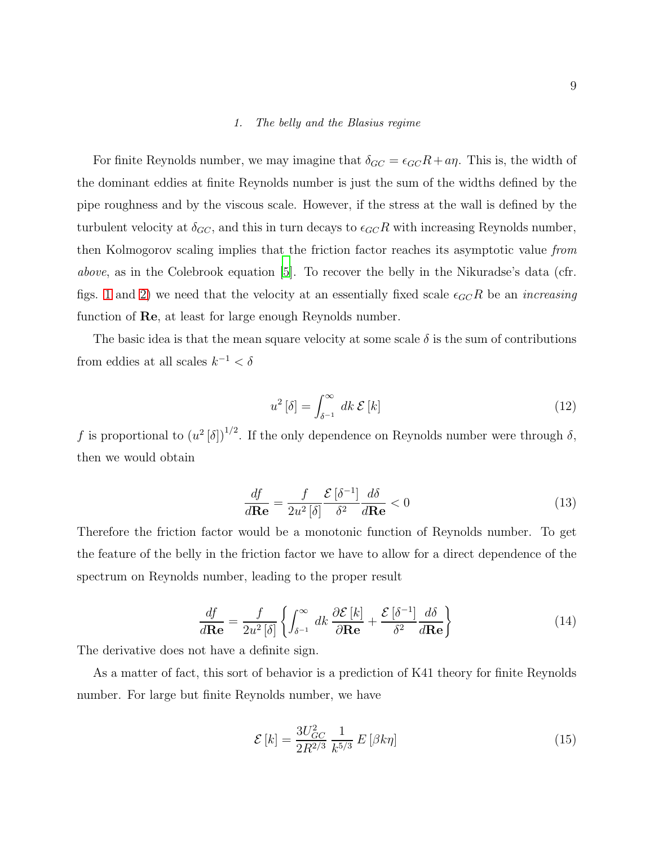#### 1. The belly and the Blasius regime

For finite Reynolds number, we may imagine that  $\delta_{GC} = \epsilon_{GC}R + a\eta$ . This is, the width of the dominant eddies at finite Reynolds number is just the sum of the widths defined by the pipe roughness and by the viscous scale. However, if the stress at the wall is defined by the turbulent velocity at  $\delta_{GC}$ , and this in turn decays to  $\epsilon_{GC}R$  with increasing Reynolds number, then Kolmogorov scaling implies that the friction factor reaches its asymptotic value from above, as in the Colebrook equation [\[5](#page-17-3)]. To recover the belly in the Nikuradse's data (cfr. figs. [1](#page-4-0) and [2\)](#page-4-1) we need that the velocity at an essentially fixed scale  $\epsilon_{GC}R$  be an *increasing* function of Re, at least for large enough Reynolds number.

The basic idea is that the mean square velocity at some scale  $\delta$  is the sum of contributions from eddies at all scales  $k^{-1} < \delta$ 

<span id="page-8-2"></span>
$$
u^2\left[\delta\right] = \int_{\delta^{-1}}^{\infty} dk \, \mathcal{E}\left[k\right] \tag{12}
$$

f is proportional to  $(u^2[\delta])^{1/2}$ . If the only dependence on Reynolds number were through  $\delta$ , then we would obtain

$$
\frac{df}{d\mathbf{Re}} = \frac{f}{2u^2[\delta]} \frac{\mathcal{E}[\delta^{-1}]}{\delta^2} \frac{d\delta}{d\mathbf{Re}} < 0
$$
\n(13)

Therefore the friction factor would be a monotonic function of Reynolds number. To get the feature of the belly in the friction factor we have to allow for a direct dependence of the spectrum on Reynolds number, leading to the proper result

<span id="page-8-0"></span>
$$
\frac{df}{d\mathbf{Re}} = \frac{f}{2u^2[\delta]} \left\{ \int_{\delta^{-1}}^{\infty} dk \, \frac{\partial \mathcal{E}[k]}{\partial \mathbf{Re}} + \frac{\mathcal{E}[\delta^{-1}]}{\delta^2} \frac{d\delta}{d\mathbf{Re}} \right\} \tag{14}
$$

The derivative does not have a definite sign.

As a matter of fact, this sort of behavior is a prediction of K41 theory for finite Reynolds number. For large but finite Reynolds number, we have

<span id="page-8-1"></span>
$$
\mathcal{E}\left[k\right] = \frac{3U_{GC}^2}{2R^{2/3}} \frac{1}{k^{5/3}} E\left[\beta k \eta\right]
$$
\n(15)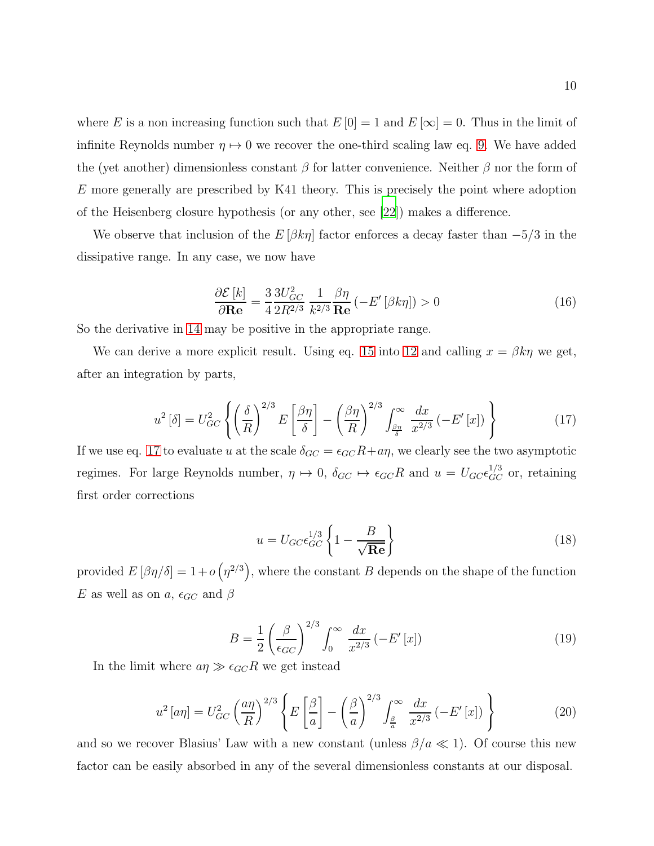where E is a non increasing function such that  $E[0] = 1$  and  $E[\infty] = 0$ . Thus in the limit of infinite Reynolds number  $\eta \mapsto 0$  we recover the one-third scaling law eq. [9.](#page-6-1) We have added the (yet another) dimensionless constant  $\beta$  for latter convenience. Neither  $\beta$  nor the form of E more generally are prescribed by K41 theory. This is precisely the point where adoption of the Heisenberg closure hypothesis (or any other, see [\[22\]](#page-18-4)) makes a difference.

We observe that inclusion of the  $E[\beta k \eta]$  factor enforces a decay faster than  $-5/3$  in the dissipative range. In any case, we now have

$$
\frac{\partial \mathcal{E}[k]}{\partial \mathbf{Re}} = \frac{3}{4} \frac{3U_{GC}^2}{2R^{2/3}} \frac{1}{k^{2/3}} \frac{\beta \eta}{\mathbf{Re}} \left( -E'\left[\beta k \eta\right]\right) > 0 \tag{16}
$$

So the derivative in [14](#page-8-0) may be positive in the appropriate range.

We can derive a more explicit result. Using eq. [15](#page-8-1) into [12](#page-8-2) and calling  $x = \beta k \eta$  we get, after an integration by parts,

<span id="page-9-0"></span>
$$
u^2\left[\delta\right] = U_{GC}^2 \left\{ \left(\frac{\delta}{R}\right)^{2/3} E\left[\frac{\beta\eta}{\delta}\right] - \left(\frac{\beta\eta}{R}\right)^{2/3} \int_{\frac{\beta\eta}{\delta}}^{\infty} \frac{dx}{x^{2/3}} \left(-E'[x]\right) \right\} \tag{17}
$$

If we use eq. [17](#page-9-0) to evaluate u at the scale  $\delta_{GC} = \epsilon_{GC} R + a\eta$ , we clearly see the two asymptotic regimes. For large Reynolds number,  $\eta \mapsto 0$ ,  $\delta_{GC} \mapsto \epsilon_{GC}R$  and  $u = U_{GC}\epsilon_{GC}^{1/3}$  or, retaining first order corrections

$$
u = U_{GC}\epsilon_{GC}^{1/3}\left\{1 - \frac{B}{\sqrt{\text{Re}}}\right\}
$$
\n(18)

provided  $E[\beta\eta/\delta] = 1 + o(\eta^{2/3})$ , where the constant B depends on the shape of the function E as well as on a,  $\epsilon_{GC}$  and  $\beta$ 

$$
B = \frac{1}{2} \left( \frac{\beta}{\epsilon_{GC}} \right)^{2/3} \int_0^\infty \frac{dx}{x^{2/3}} \left( -E'[x] \right) \tag{19}
$$

In the limit where  $a\eta \gg \epsilon_{GC} R$  we get instead

$$
u^2\left[a\eta\right] = U_{GC}^2 \left(\frac{a\eta}{R}\right)^{2/3} \left\{ E\left[\frac{\beta}{a}\right] - \left(\frac{\beta}{a}\right)^{2/3} \int_{\frac{\beta}{a}}^{\infty} \frac{dx}{x^{2/3}} \left(-E'[x]\right) \right\}
$$
(20)

and so we recover Blasius' Law with a new constant (unless  $\beta/a \ll 1$ ). Of course this new factor can be easily absorbed in any of the several dimensionless constants at our disposal.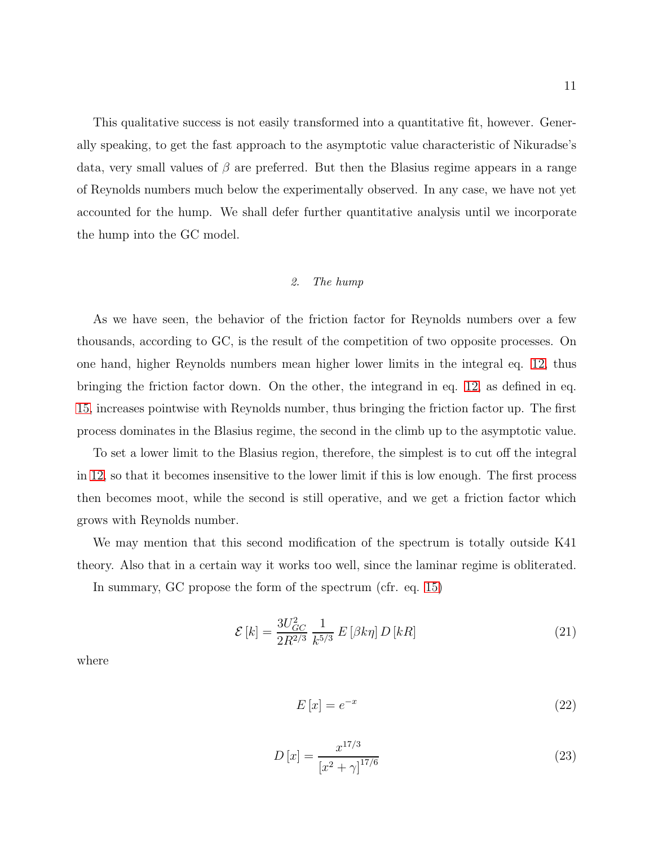This qualitative success is not easily transformed into a quantitative fit, however. Generally speaking, to get the fast approach to the asymptotic value characteristic of Nikuradse's data, very small values of  $\beta$  are preferred. But then the Blasius regime appears in a range of Reynolds numbers much below the experimentally observed. In any case, we have not yet accounted for the hump. We shall defer further quantitative analysis until we incorporate the hump into the GC model.

# 2. The hump

As we have seen, the behavior of the friction factor for Reynolds numbers over a few thousands, according to GC, is the result of the competition of two opposite processes. On one hand, higher Reynolds numbers mean higher lower limits in the integral eq. [12,](#page-8-2) thus bringing the friction factor down. On the other, the integrand in eq. [12,](#page-8-2) as defined in eq. [15,](#page-8-1) increases pointwise with Reynolds number, thus bringing the friction factor up. The first process dominates in the Blasius regime, the second in the climb up to the asymptotic value.

To set a lower limit to the Blasius region, therefore, the simplest is to cut off the integral in [12,](#page-8-2) so that it becomes insensitive to the lower limit if this is low enough. The first process then becomes moot, while the second is still operative, and we get a friction factor which grows with Reynolds number.

We may mention that this second modification of the spectrum is totally outside K41 theory. Also that in a certain way it works too well, since the laminar regime is obliterated.

In summary, GC propose the form of the spectrum (cfr. eq. [15\)](#page-8-1)

$$
\mathcal{E}\left[k\right] = \frac{3U_{GC}^2}{2R^{2/3}} \frac{1}{k^{5/3}} E\left[\beta k \eta\right] D\left[kR\right] \tag{21}
$$

where

$$
E\left[x\right] = e^{-x} \tag{22}
$$

$$
D\left[x\right] = \frac{x^{17/3}}{\left[x^2 + \gamma\right]^{17/6}}\tag{23}
$$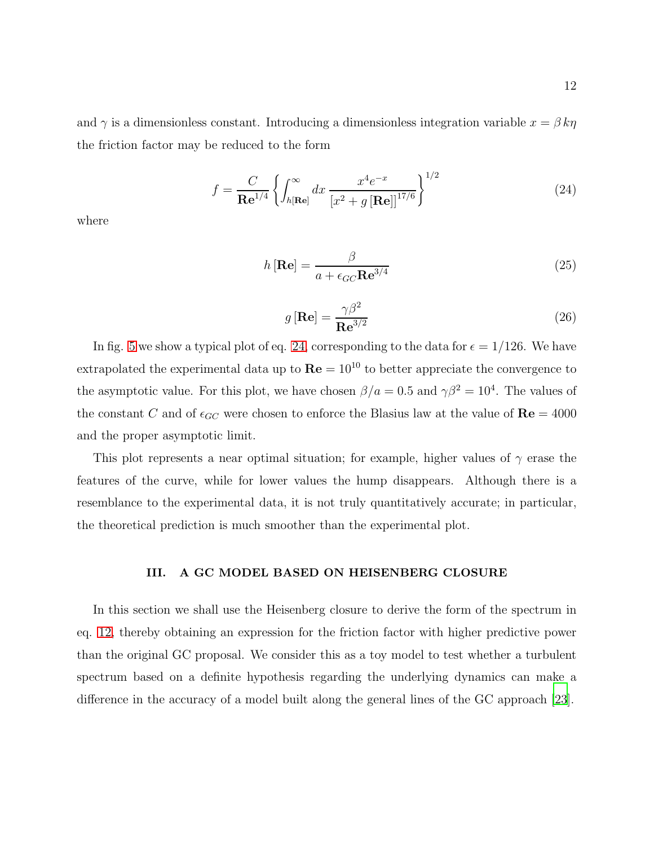and  $\gamma$  is a dimensionless constant. Introducing a dimensionless integration variable  $x = \beta k\eta$ the friction factor may be reduced to the form

<span id="page-11-0"></span>
$$
f = \frac{C}{\mathbf{Re}^{1/4}} \left\{ \int_{h[\mathbf{Re}]}^{\infty} dx \, \frac{x^4 e^{-x}}{[x^2 + g[\mathbf{Re}]]^{17/6}} \right\}^{1/2}
$$
(24)

where

$$
h\left[\mathbf{Re}\right] = \frac{\beta}{a + \epsilon_{GC}\mathbf{Re}^{3/4}}\tag{25}
$$

$$
g\left[\mathbf{Re}\right] = \frac{\gamma \beta^2}{\mathbf{Re}^{3/2}}\tag{26}
$$

In fig. [5](#page-12-0) we show a typical plot of eq. [24,](#page-11-0) corresponding to the data for  $\epsilon = 1/126$ . We have extrapolated the experimental data up to  $\mathbf{Re} = 10^{10}$  to better appreciate the convergence to the asymptotic value. For this plot, we have chosen  $\beta/a = 0.5$  and  $\gamma \beta^2 = 10^4$ . The values of the constant C and of  $\epsilon_{GC}$  were chosen to enforce the Blasius law at the value of  $\mathbf{Re} = 4000$ and the proper asymptotic limit.

This plot represents a near optimal situation; for example, higher values of  $\gamma$  erase the features of the curve, while for lower values the hump disappears. Although there is a resemblance to the experimental data, it is not truly quantitatively accurate; in particular, the theoretical prediction is much smoother than the experimental plot.

## III. A GC MODEL BASED ON HEISENBERG CLOSURE

In this section we shall use the Heisenberg closure to derive the form of the spectrum in eq. [12,](#page-8-2) thereby obtaining an expression for the friction factor with higher predictive power than the original GC proposal. We consider this as a toy model to test whether a turbulent spectrum based on a definite hypothesis regarding the underlying dynamics can make a difference in the accuracy of a model built along the general lines of the GC approach [\[23](#page-18-5)].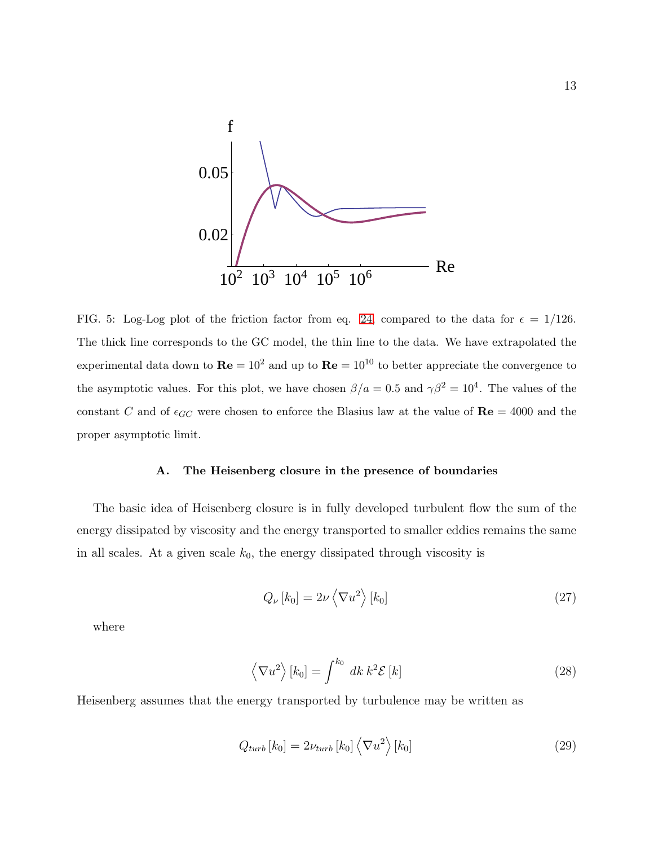

<span id="page-12-0"></span>FIG. 5: Log-Log plot of the friction factor from eq. [24,](#page-11-0) compared to the data for  $\epsilon = 1/126$ . The thick line corresponds to the GC model, the thin line to the data. We have extrapolated the experimental data down to  $\mathbf{Re} = 10^2$  and up to  $\mathbf{Re} = 10^{10}$  to better appreciate the convergence to the asymptotic values. For this plot, we have chosen  $\beta/a = 0.5$  and  $\gamma \beta^2 = 10^4$ . The values of the constant C and of  $\epsilon_{GC}$  were chosen to enforce the Blasius law at the value of  $\text{Re} = 4000$  and the proper asymptotic limit.

#### A. The Heisenberg closure in the presence of boundaries

The basic idea of Heisenberg closure is in fully developed turbulent flow the sum of the energy dissipated by viscosity and the energy transported to smaller eddies remains the same in all scales. At a given scale  $k_0$ , the energy dissipated through viscosity is

<span id="page-12-1"></span>
$$
Q_{\nu}[k_0] = 2\nu \left\langle \nabla u^2 \right\rangle[k_0] \tag{27}
$$

where

$$
\left\langle \nabla u^2 \right\rangle [k_0] = \int^{k_0} dk \, k^2 \mathcal{E} \left[ k \right] \tag{28}
$$

Heisenberg assumes that the energy transported by turbulence may be written as

<span id="page-12-2"></span>
$$
Q_{turb}[k_0] = 2\nu_{turb}[k_0] \left\langle \nabla u^2 \right\rangle[k_0]
$$
\n(29)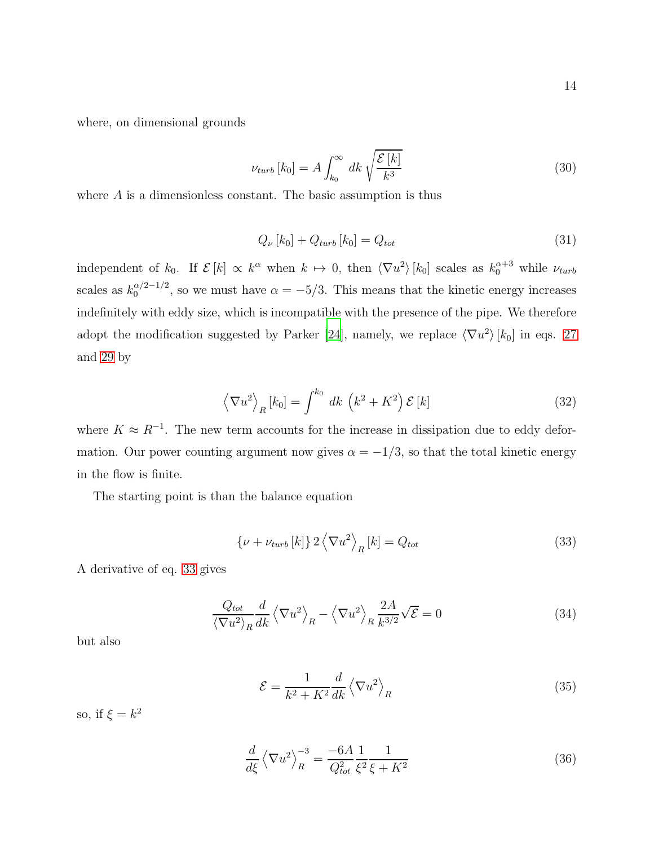where, on dimensional grounds

$$
\nu_{turb}[k_0] = A \int_{k_0}^{\infty} dk \sqrt{\frac{\mathcal{E}[k]}{k^3}}
$$
\n(30)

where  $A$  is a dimensionless constant. The basic assumption is thus

<span id="page-13-1"></span>
$$
Q_{\nu}[k_0] + Q_{turb}[k_0] = Q_{tot}
$$
\n(31)

independent of  $k_0$ . If  $\mathcal{E}[k] \propto k^{\alpha}$  when  $k \mapsto 0$ , then  $\langle \nabla u^2 \rangle [k_0]$  scales as  $k_0^{\alpha+3}$  while  $\nu_{turb}$ scales as  $k_0^{\alpha/2-1/2}$  $\alpha_0^{(\alpha/2-1/2)}$ , so we must have  $\alpha = -5/3$ . This means that the kinetic energy increases indefinitely with eddy size, which is incompatible with the presence of the pipe. We therefore adopt the modification suggested by Parker [\[24\]](#page-18-6), namely, we replace  $\langle \nabla u^2 \rangle [k_0]$  in eqs. [27](#page-12-1) and [29](#page-12-2) by

$$
\left\langle \nabla u^2 \right\rangle_R [k_0] = \int^{k_0} dk \, \left( k^2 + K^2 \right) \mathcal{E} \left[ k \right] \tag{32}
$$

where  $K \approx R^{-1}$ . The new term accounts for the increase in dissipation due to eddy deformation. Our power counting argument now gives  $\alpha = -1/3$ , so that the total kinetic energy in the flow is finite.

The starting point is than the balance equation

<span id="page-13-0"></span>
$$
\{\nu + \nu_{turb}[k]\} 2 \left\langle \nabla u^2 \right\rangle_R [k] = Q_{tot}
$$
\n(33)

A derivative of eq. [33](#page-13-0) gives

$$
\frac{Q_{tot}}{\langle \nabla u^2 \rangle_R} \frac{d}{dk} \left\langle \nabla u^2 \right\rangle_R - \left\langle \nabla u^2 \right\rangle_R \frac{2A}{k^{3/2}} \sqrt{\mathcal{E}} = 0
$$
\n(34)

but also

<span id="page-13-2"></span>
$$
\mathcal{E} = \frac{1}{k^2 + K^2} \frac{d}{dk} \left\langle \nabla u^2 \right\rangle_R \tag{35}
$$

so, if  $\xi = k^2$ 

$$
\frac{d}{d\xi} \left\langle \nabla u^2 \right\rangle_R^{-3} = \frac{-6A}{Q_{tot}^2} \frac{1}{\xi^2} \frac{1}{\xi + K^2}
$$
\n(36)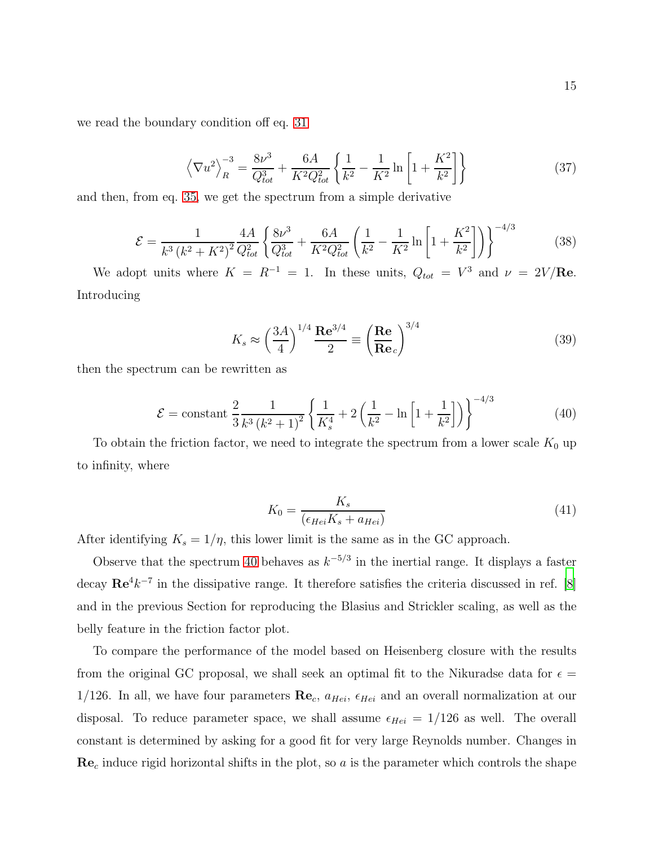we read the boundary condition off eq. [31](#page-13-1)

$$
\left\langle \nabla u^2 \right\rangle_R^{-3} = \frac{8\nu^3}{Q_{tot}^3} + \frac{6A}{K^2 Q_{tot}^2} \left\{ \frac{1}{k^2} - \frac{1}{K^2} \ln \left[ 1 + \frac{K^2}{k^2} \right] \right\}
$$
 (37)

and then, from eq. [35,](#page-13-2) we get the spectrum from a simple derivative

$$
\mathcal{E} = \frac{1}{k^3 \left(k^2 + K^2\right)^2} \frac{4A}{Q_{tot}^2} \left\{ \frac{8\nu^3}{Q_{tot}^3} + \frac{6A}{K^2 Q_{tot}^2} \left(\frac{1}{k^2} - \frac{1}{K^2} \ln\left[1 + \frac{K^2}{k^2}\right]\right) \right\}^{-4/3} \tag{38}
$$

We adopt units where  $K = R^{-1} = 1$ . In these units,  $Q_{tot} = V^3$  and  $\nu = 2V/\text{Re}$ . Introducing

$$
K_s \approx \left(\frac{3A}{4}\right)^{1/4} \frac{\text{Re}^{3/4}}{2} \equiv \left(\frac{\text{Re}}{\text{Re}_c}\right)^{3/4} \tag{39}
$$

then the spectrum can be rewritten as

<span id="page-14-0"></span>
$$
\mathcal{E} = \text{constant} \left[ \frac{2}{3} \frac{1}{k^3 \left( k^2 + 1 \right)^2} \left\{ \frac{1}{K_s^4} + 2 \left( \frac{1}{k^2} - \ln \left[ 1 + \frac{1}{k^2} \right] \right) \right\}^{-4/3} \tag{40}
$$

To obtain the friction factor, we need to integrate the spectrum from a lower scale  $K_0$  up to infinity, where

$$
K_0 = \frac{K_s}{(\epsilon_{Hei}K_s + a_{Hei})} \tag{41}
$$

After identifying  $K_s = 1/\eta$ , this lower limit is the same as in the GC approach.

Observe that the spectrum [40](#page-14-0) behaves as  $k^{-5/3}$  in the inertial range. It displays a faster decay  $\mathbf{Re}^{4}k^{-7}$  in the dissipative range. It therefore satisfies the criteria discussed in ref. [\[8\]](#page-17-6) and in the previous Section for reproducing the Blasius and Strickler scaling, as well as the belly feature in the friction factor plot.

To compare the performance of the model based on Heisenberg closure with the results from the original GC proposal, we shall seek an optimal fit to the Nikuradse data for  $\epsilon =$ 1/126. In all, we have four parameters  $\mathbf{Re}_c$ ,  $a_{Hei}$ ,  $\epsilon_{Hei}$  and an overall normalization at our disposal. To reduce parameter space, we shall assume  $\epsilon_{Hei} = 1/126$  as well. The overall constant is determined by asking for a good fit for very large Reynolds number. Changes in  $\text{Re}_c$  induce rigid horizontal shifts in the plot, so a is the parameter which controls the shape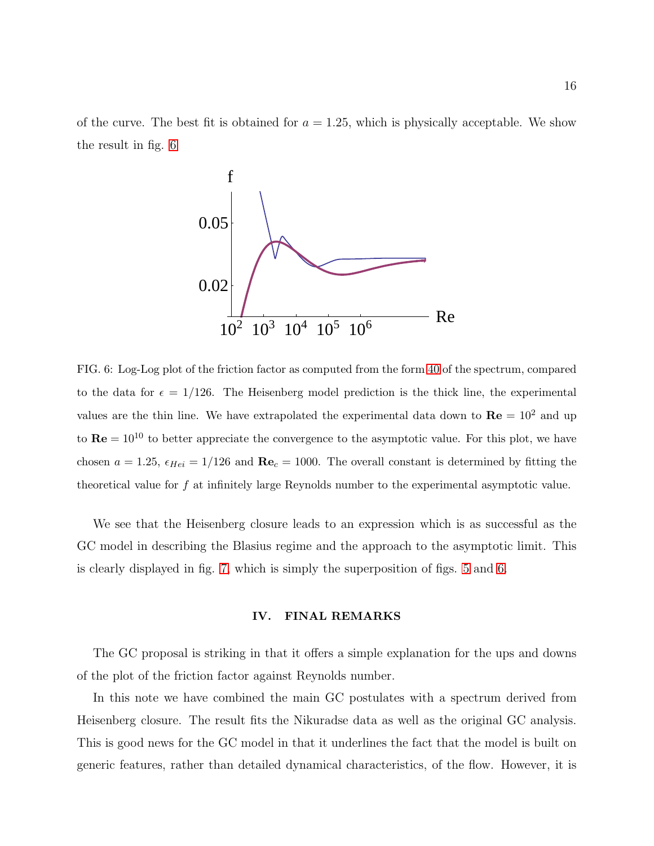of the curve. The best fit is obtained for  $a = 1.25$ , which is physically acceptable. We show the result in fig. [6](#page-15-0)



<span id="page-15-0"></span>FIG. 6: Log-Log plot of the friction factor as computed from the form [40](#page-14-0) of the spectrum, compared to the data for  $\epsilon = 1/126$ . The Heisenberg model prediction is the thick line, the experimental values are the thin line. We have extrapolated the experimental data down to  $\mathbf{Re} = 10^2$  and up to  $\mathbf{Re} = 10^{10}$  to better appreciate the convergence to the asymptotic value. For this plot, we have chosen  $a = 1.25$ ,  $\epsilon_{Hei} = 1/126$  and  $\text{Re}_c = 1000$ . The overall constant is determined by fitting the theoretical value for f at infinitely large Reynolds number to the experimental asymptotic value.

We see that the Heisenberg closure leads to an expression which is as successful as the GC model in describing the Blasius regime and the approach to the asymptotic limit. This is clearly displayed in fig. [7,](#page-16-1) which is simply the superposition of figs. [5](#page-12-0) and [6.](#page-15-0)

#### IV. FINAL REMARKS

The GC proposal is striking in that it offers a simple explanation for the ups and downs of the plot of the friction factor against Reynolds number.

In this note we have combined the main GC postulates with a spectrum derived from Heisenberg closure. The result fits the Nikuradse data as well as the original GC analysis. This is good news for the GC model in that it underlines the fact that the model is built on generic features, rather than detailed dynamical characteristics, of the flow. However, it is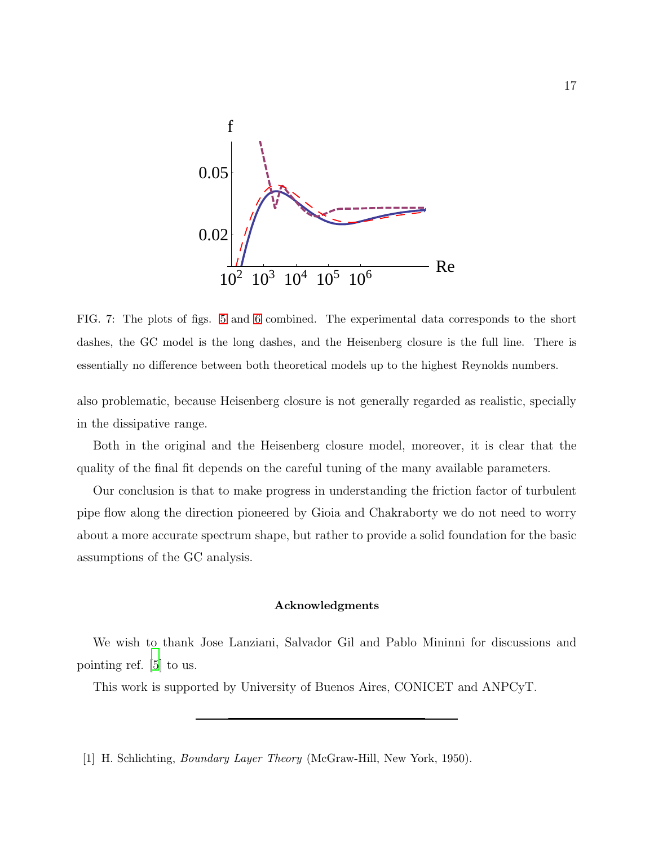

<span id="page-16-1"></span>FIG. 7: The plots of figs. [5](#page-12-0) and [6](#page-15-0) combined. The experimental data corresponds to the short dashes, the GC model is the long dashes, and the Heisenberg closure is the full line. There is essentially no difference between both theoretical models up to the highest Reynolds numbers.

also problematic, because Heisenberg closure is not generally regarded as realistic, specially in the dissipative range.

Both in the original and the Heisenberg closure model, moreover, it is clear that the quality of the final fit depends on the careful tuning of the many available parameters.

Our conclusion is that to make progress in understanding the friction factor of turbulent pipe flow along the direction pioneered by Gioia and Chakraborty we do not need to worry about a more accurate spectrum shape, but rather to provide a solid foundation for the basic assumptions of the GC analysis.

## Acknowledgments

We wish to thank Jose Lanziani, Salvador Gil and Pablo Mininni for discussions and pointing ref. [\[5](#page-17-3)] to us.

This work is supported by University of Buenos Aires, CONICET and ANPCyT.

<span id="page-16-0"></span>[1] H. Schlichting, Boundary Layer Theory (McGraw-Hill, New York, 1950).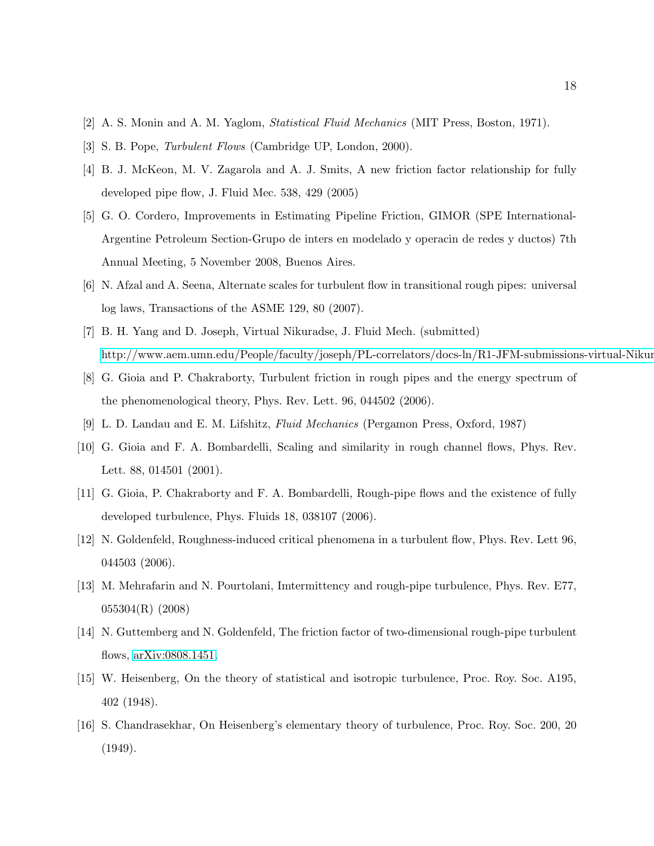- <span id="page-17-1"></span><span id="page-17-0"></span>[2] A. S. Monin and A. M. Yaglom, Statistical Fluid Mechanics (MIT Press, Boston, 1971).
- <span id="page-17-2"></span>[3] S. B. Pope, Turbulent Flows (Cambridge UP, London, 2000).
- [4] B. J. McKeon, M. V. Zagarola and A. J. Smits, A new friction factor relationship for fully developed pipe flow, J. Fluid Mec. 538, 429 (2005)
- <span id="page-17-3"></span>[5] G. O. Cordero, Improvements in Estimating Pipeline Friction, GIMOR (SPE International-Argentine Petroleum Section-Grupo de inters en modelado y operacin de redes y ductos) 7th Annual Meeting, 5 November 2008, Buenos Aires.
- <span id="page-17-4"></span>[6] N. Afzal and A. Seena, Alternate scales for turbulent flow in transitional rough pipes: universal log laws, Transactions of the ASME 129, 80 (2007).
- <span id="page-17-5"></span>[7] B. H. Yang and D. Joseph, Virtual Nikuradse, J. Fluid Mech. (submitted) http://www.aem.umn.edu/People/faculty/joseph/PL-correlators/docs-ln/R1-JFM-submissions-virtual-Nikur
- <span id="page-17-6"></span>[8] G. Gioia and P. Chakraborty, Turbulent friction in rough pipes and the energy spectrum of the phenomenological theory, Phys. Rev. Lett. 96, 044502 (2006).
- <span id="page-17-12"></span>[9] L. D. Landau and E. M. Lifshitz, Fluid Mechanics (Pergamon Press, Oxford, 1987)
- <span id="page-17-7"></span>[10] G. Gioia and F. A. Bombardelli, Scaling and similarity in rough channel flows, Phys. Rev. Lett. 88, 014501 (2001).
- <span id="page-17-8"></span>[11] G. Gioia, P. Chakraborty and F. A. Bombardelli, Rough-pipe flows and the existence of fully developed turbulence, Phys. Fluids 18, 038107 (2006).
- <span id="page-17-9"></span>[12] N. Goldenfeld, Roughness-induced critical phenomena in a turbulent flow, Phys. Rev. Lett 96, 044503 (2006).
- <span id="page-17-10"></span>[13] M. Mehrafarin and N. Pourtolani, Imtermittency and rough-pipe turbulence, Phys. Rev. E77, 055304(R) (2008)
- <span id="page-17-11"></span>[14] N. Guttemberg and N. Goldenfeld, The friction factor of two-dimensional rough-pipe turbulent flows, [arXiv:0808.1451.](http://arxiv.org/abs/0808.1451)
- <span id="page-17-13"></span>[15] W. Heisenberg, On the theory of statistical and isotropic turbulence, Proc. Roy. Soc. A195, 402 (1948).
- <span id="page-17-14"></span>[16] S. Chandrasekhar, On Heisenberg's elementary theory of turbulence, Proc. Roy. Soc. 200, 20 (1949).